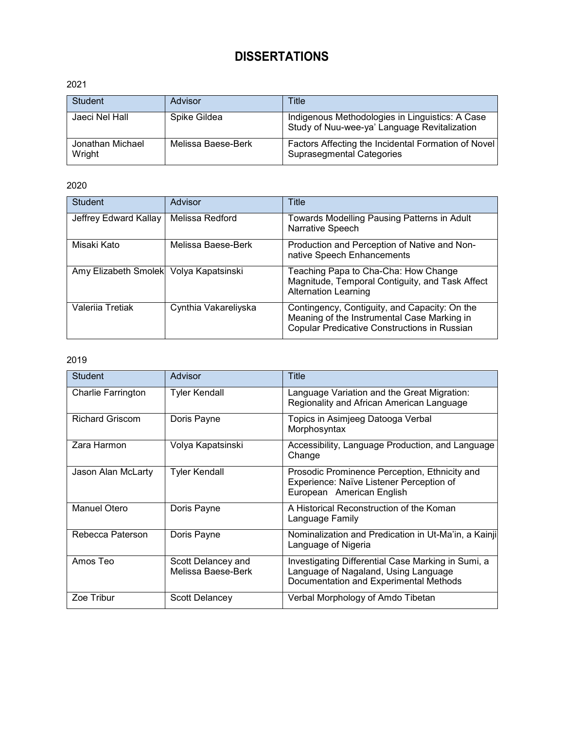# **DISSERTATIONS**

### 2021

| <b>Student</b>             | Advisor            | Title                                                                                           |
|----------------------------|--------------------|-------------------------------------------------------------------------------------------------|
| Jaeci Nel Hall             | Spike Gildea       | Indigenous Methodologies in Linguistics: A Case<br>Study of Nuu-wee-ya' Language Revitalization |
| Jonathan Michael<br>Wright | Melissa Baese-Berk | Factors Affecting the Incidental Formation of Novel<br><b>Suprasegmental Categories</b>         |

## 2020

| Student                                | Advisor              | Title                                                                                                                                               |
|----------------------------------------|----------------------|-----------------------------------------------------------------------------------------------------------------------------------------------------|
| Jeffrey Edward Kallay                  | Melissa Redford      | Towards Modelling Pausing Patterns in Adult<br>Narrative Speech                                                                                     |
| Misaki Kato                            | Melissa Baese-Berk   | Production and Perception of Native and Non-<br>native Speech Enhancements                                                                          |
| Amy Elizabeth Smolek Volya Kapatsinski |                      | Teaching Papa to Cha-Cha: How Change<br>Magnitude, Temporal Contiguity, and Task Affect<br><b>Alternation Learning</b>                              |
| Valerija Tretiak                       | Cynthia Vakareliyska | Contingency, Contiguity, and Capacity: On the<br>Meaning of the Instrumental Case Marking in<br><b>Copular Predicative Constructions in Russian</b> |

| <b>Student</b>            | Advisor                                  | Title                                                                                                                                |
|---------------------------|------------------------------------------|--------------------------------------------------------------------------------------------------------------------------------------|
| <b>Charlie Farrington</b> | Tyler Kendall                            | Language Variation and the Great Migration:<br>Regionality and African American Language                                             |
| <b>Richard Griscom</b>    | Doris Payne                              | Topics in Asimjeeg Datooga Verbal<br>Morphosyntax                                                                                    |
| Zara Harmon               | Volya Kapatsinski                        | Accessibility, Language Production, and Language<br>Change                                                                           |
| Jason Alan McLarty        | <b>Tyler Kendall</b>                     | Prosodic Prominence Perception, Ethnicity and<br>Experience: Naïve Listener Perception of<br>European American English               |
| Manuel Otero              | Doris Payne                              | A Historical Reconstruction of the Koman<br>Language Family                                                                          |
| Rebecca Paterson          | Doris Payne                              | Nominalization and Predication in Ut-Ma'in, a Kainji<br>Language of Nigeria                                                          |
| Amos Teo                  | Scott Delancey and<br>Melissa Baese-Berk | Investigating Differential Case Marking in Sumi, a<br>Language of Nagaland, Using Language<br>Documentation and Experimental Methods |
| Zoe Tribur                | Scott Delancey                           | Verbal Morphology of Amdo Tibetan                                                                                                    |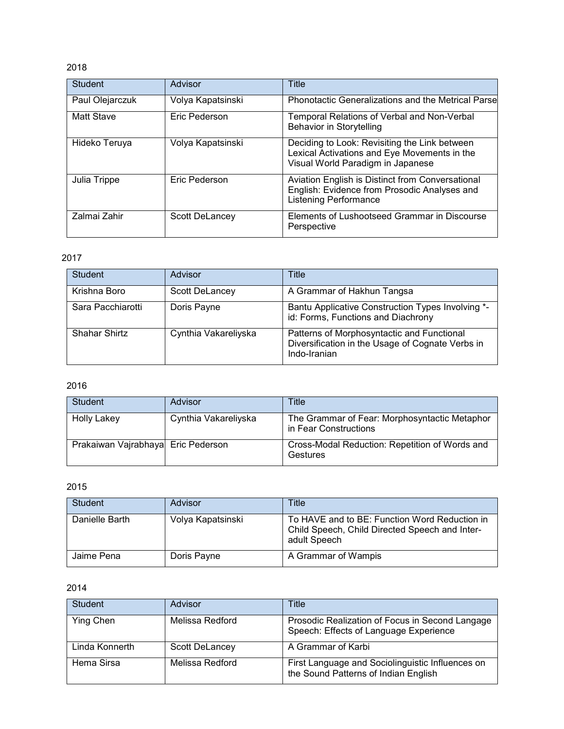| <b>Student</b>    | Advisor           | Title                                                                                                                              |
|-------------------|-------------------|------------------------------------------------------------------------------------------------------------------------------------|
| Paul Olejarczuk   | Volya Kapatsinski | <b>Phonotactic Generalizations and the Metrical Parsel</b>                                                                         |
| <b>Matt Stave</b> | Eric Pederson     | Temporal Relations of Verbal and Non-Verbal<br>Behavior in Storytelling                                                            |
| Hideko Teruya     | Volya Kapatsinski | Deciding to Look: Revisiting the Link between<br>Lexical Activations and Eye Movements in the<br>Visual World Paradigm in Japanese |
| Julia Trippe      | Eric Pederson     | Aviation English is Distinct from Conversational<br>English: Evidence from Prosodic Analyses and<br><b>Listening Performance</b>   |
| Zalmai Zahir      | Scott DeLancey    | Elements of Lushootseed Grammar in Discourse<br>Perspective                                                                        |

## 2017

| Student           | Advisor              | Title                                                                                                          |
|-------------------|----------------------|----------------------------------------------------------------------------------------------------------------|
| Krishna Boro      | Scott DeLancey       | A Grammar of Hakhun Tangsa                                                                                     |
| Sara Pacchiarotti | Doris Payne          | Bantu Applicative Construction Types Involving *-<br>id: Forms, Functions and Diachrony                        |
| Shahar Shirtz     | Cynthia Vakareliyska | Patterns of Morphosyntactic and Functional<br>Diversification in the Usage of Cognate Verbs in<br>Indo-Iranian |

## 2016

| <b>Student</b>                     | Advisor              | Title                                                                  |
|------------------------------------|----------------------|------------------------------------------------------------------------|
| <b>Holly Lakey</b>                 | Cynthia Vakareliyska | The Grammar of Fear: Morphosyntactic Metaphor<br>in Fear Constructions |
| Prakaiwan Vajrabhaya Eric Pederson |                      | Cross-Modal Reduction: Repetition of Words and<br>Gestures             |

### 2015

| Student        | Advisor           | Title                                                                                                           |
|----------------|-------------------|-----------------------------------------------------------------------------------------------------------------|
| Danielle Barth | Volya Kapatsinski | To HAVE and to BE: Function Word Reduction in<br>Child Speech, Child Directed Speech and Inter-<br>adult Speech |
| Jaime Pena     | Doris Payne       | A Grammar of Wampis                                                                                             |

| <b>Student</b> | Advisor         | Title                                                                                     |
|----------------|-----------------|-------------------------------------------------------------------------------------------|
| Ying Chen      | Melissa Redford | Prosodic Realization of Focus in Second Langage<br>Speech: Effects of Language Experience |
| Linda Konnerth | Scott DeLancey  | A Grammar of Karbi                                                                        |
| Hema Sirsa     | Melissa Redford | First Language and Sociolinguistic Influences on<br>the Sound Patterns of Indian English  |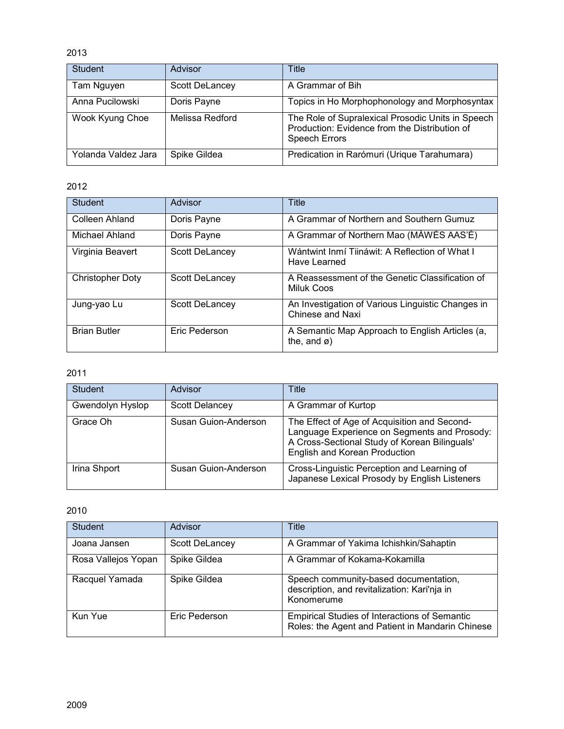| <b>Student</b>      | Advisor         | Title                                                                                                                      |
|---------------------|-----------------|----------------------------------------------------------------------------------------------------------------------------|
| Tam Nguyen          | Scott DeLancey  | A Grammar of Bih                                                                                                           |
| Anna Pucilowski     | Doris Payne     | Topics in Ho Morphophonology and Morphosyntax                                                                              |
| Wook Kyung Choe     | Melissa Redford | The Role of Supralexical Prosodic Units in Speech<br>Production: Evidence from the Distribution of<br><b>Speech Errors</b> |
| Yolanda Valdez Jara | Spike Gildea    | Predication in Rarómuri (Urique Tarahumara)                                                                                |

## 2012

| <b>Student</b>          | Advisor        | Title                                                                       |
|-------------------------|----------------|-----------------------------------------------------------------------------|
| Colleen Ahland          | Doris Payne    | A Grammar of Northern and Southern Gumuz                                    |
| Michael Ahland          | Doris Payne    | A Grammar of Northern Mao (MÀWÉS AAS'È)                                     |
| Virginia Beavert        | Scott DeLancey | Wántwint Inmí Tiináwit: A Reflection of What I<br>Have Learned              |
| <b>Christopher Doty</b> | Scott DeLancey | A Reassessment of the Genetic Classification of<br>Miluk Coos               |
| Jung-yao Lu             | Scott DeLancey | An Investigation of Various Linguistic Changes in<br>Chinese and Naxi       |
| <b>Brian Butler</b>     | Eric Pederson  | A Semantic Map Approach to English Articles (a,<br>the, and $\varnothing$ ) |

## 2011

| <b>Student</b>   | Advisor              | Title                                                                                                                                                                          |
|------------------|----------------------|--------------------------------------------------------------------------------------------------------------------------------------------------------------------------------|
| Gwendolyn Hyslop | Scott Delancey       | A Grammar of Kurtop                                                                                                                                                            |
| Grace Oh         | Susan Guion-Anderson | The Effect of Age of Acquisition and Second-<br>Language Experience on Segments and Prosody:<br>A Cross-Sectional Study of Korean Bilinguals'<br>English and Korean Production |
| Irina Shport     | Susan Guion-Anderson | Cross-Linguistic Perception and Learning of<br>Japanese Lexical Prosody by English Listeners                                                                                   |

| <b>Student</b>      | Advisor        | Title                                                                                                    |
|---------------------|----------------|----------------------------------------------------------------------------------------------------------|
| Joana Jansen        | Scott DeLancey | A Grammar of Yakima Ichishkin/Sahaptin                                                                   |
| Rosa Vallejos Yopan | Spike Gildea   | A Grammar of Kokama-Kokamilla                                                                            |
| Racquel Yamada      | Spike Gildea   | Speech community-based documentation,<br>description, and revitalization: Kari'nja in<br>Konomerume      |
| Kun Yue             | Eric Pederson  | <b>Empirical Studies of Interactions of Semantic</b><br>Roles: the Agent and Patient in Mandarin Chinese |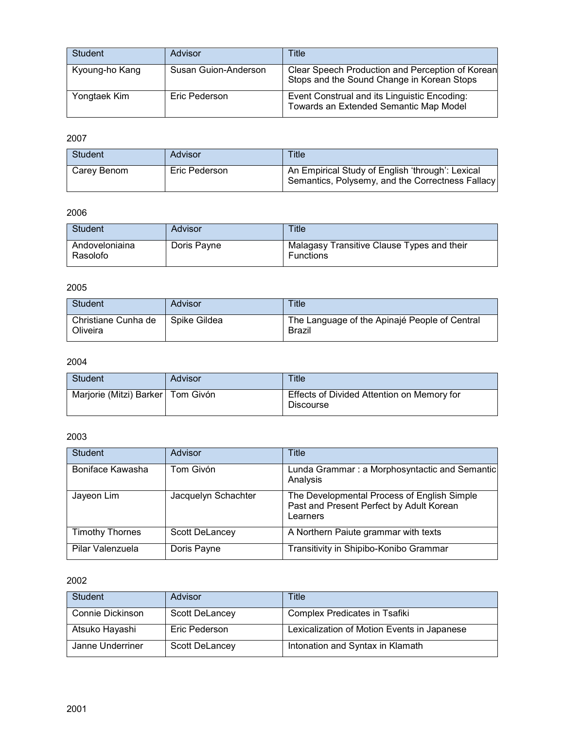| Student        | Advisor              | Title                                                                                          |
|----------------|----------------------|------------------------------------------------------------------------------------------------|
| Kyoung-ho Kang | Susan Guion-Anderson | Clear Speech Production and Perception of Korean<br>Stops and the Sound Change in Korean Stops |
| Yongtaek Kim   | Eric Pederson        | Event Construal and its Linguistic Encoding:<br>Towards an Extended Semantic Map Model         |

| <b>Student</b> | Advisor       | Title                                                                                                |
|----------------|---------------|------------------------------------------------------------------------------------------------------|
| Carev Benom    | Eric Pederson | An Empirical Study of English 'through': Lexical<br>Semantics, Polysemy, and the Correctness Fallacy |

## 2006

| Student                    | Advisor     | <b>Title</b>                                            |
|----------------------------|-------------|---------------------------------------------------------|
| Andoveloniaina<br>Rasolofo | Doris Payne | Malagasy Transitive Clause Types and their<br>Functions |

## 2005

| <b>Student</b>                  | Advisor      | <b>Title</b>                                            |
|---------------------------------|--------------|---------------------------------------------------------|
| Christiane Cunha de<br>Oliveira | Spike Gildea | The Language of the Apinajé People of Central<br>Brazil |

## 2004

| Student                             | Advisor | Title                                                          |
|-------------------------------------|---------|----------------------------------------------------------------|
| Marjorie (Mitzi) Barker   Tom Givón |         | Effects of Divided Attention on Memory for<br><b>Discourse</b> |

## 2003

| <b>Student</b>         | Advisor             | Title                                                                                               |
|------------------------|---------------------|-----------------------------------------------------------------------------------------------------|
| Boniface Kawasha       | Tom Givón           | Lunda Grammar: a Morphosyntactic and Semantic<br>Analysis                                           |
| Jayeon Lim             | Jacquelyn Schachter | The Developmental Process of English Simple<br>Past and Present Perfect by Adult Korean<br>Learners |
| <b>Timothy Thornes</b> | Scott DeLancey      | A Northern Paiute grammar with texts                                                                |
| Pilar Valenzuela       | Doris Payne         | Transitivity in Shipibo-Konibo Grammar                                                              |

| <b>Student</b>          | <b>Advisor</b> | Title                                       |
|-------------------------|----------------|---------------------------------------------|
| <b>Connie Dickinson</b> | Scott DeLancey | Complex Predicates in Tsafiki               |
| Atsuko Hayashi          | Eric Pederson  | Lexicalization of Motion Events in Japanese |
| Janne Underriner        | Scott DeLancey | Intonation and Syntax in Klamath            |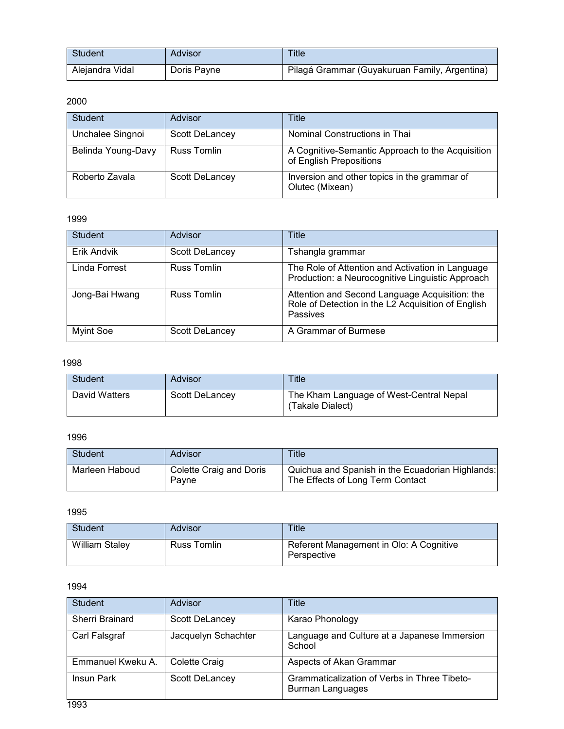| Student         | Advisor     | Title                                         |
|-----------------|-------------|-----------------------------------------------|
| Alejandra Vidal | Doris Payne | Pilagá Grammar (Guyakuruan Family, Argentina) |

| Student            | Advisor        | Title                                                                       |
|--------------------|----------------|-----------------------------------------------------------------------------|
| Unchalee Singnoi   | Scott DeLancey | Nominal Constructions in Thai                                               |
| Belinda Young-Davy | Russ Tomlin    | A Cognitive-Semantic Approach to the Acquisition<br>of English Prepositions |
| Roberto Zavala     | Scott DeLancey | Inversion and other topics in the grammar of<br>Olutec (Mixean)             |

#### 1999

| <b>Student</b>   | Advisor            | Title                                                                                                            |
|------------------|--------------------|------------------------------------------------------------------------------------------------------------------|
| Erik Andvik      | Scott DeLancey     | Tshangla grammar                                                                                                 |
| Linda Forrest    | <b>Russ Tomlin</b> | The Role of Attention and Activation in Language<br>Production: a Neurocognitive Linguistic Approach             |
| Jong-Bai Hwang   | <b>Russ Tomlin</b> | Attention and Second Language Acquisition: the<br>Role of Detection in the L2 Acquisition of English<br>Passives |
| <b>Myint Soe</b> | Scott DeLancey     | A Grammar of Burmese                                                                                             |

## 1998

| <b>Student</b> | Advisor        | Title                                                       |
|----------------|----------------|-------------------------------------------------------------|
| David Watters  | Scott DeLancey | The Kham Language of West-Central Nepal<br>(Takale Dialect) |

## 1996

| <b>Student</b> | Advisor                          | Title                                                                                |
|----------------|----------------------------------|--------------------------------------------------------------------------------------|
| Marleen Haboud | Colette Craig and Doris<br>Pavne | Quichua and Spanish in the Ecuadorian Highlands:<br>The Effects of Long Term Contact |

### 1995

| <b>Student</b>        | Advisor     | <b>Title</b>                                           |
|-----------------------|-------------|--------------------------------------------------------|
| <b>William Staley</b> | Russ Tomlin | Referent Management in Olo: A Cognitive<br>Perspective |

| <b>Student</b>         | Advisor               | Title                                                                   |
|------------------------|-----------------------|-------------------------------------------------------------------------|
| <b>Sherri Brainard</b> | Scott DeLancey        | Karao Phonology                                                         |
| Carl Falsgraf          | Jacquelyn Schachter   | Language and Culture at a Japanese Immersion<br>School                  |
| Emmanuel Kweku A.      | Colette Craig         | Aspects of Akan Grammar                                                 |
| Insun Park             | <b>Scott DeLancey</b> | Grammaticalization of Verbs in Three Tibeto-<br><b>Burman Languages</b> |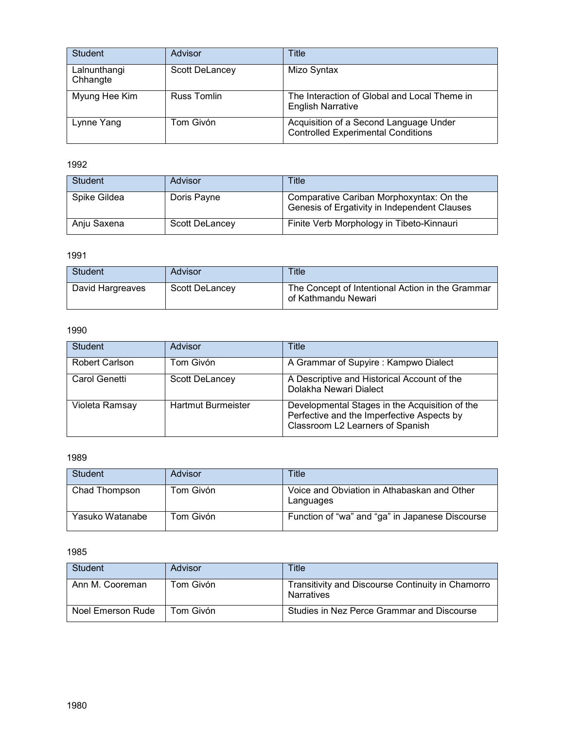| <b>Student</b>           | Advisor            | Title                                                                               |
|--------------------------|--------------------|-------------------------------------------------------------------------------------|
| Lalnunthangi<br>Chhangte | Scott DeLancey     | Mizo Syntax                                                                         |
| Myung Hee Kim            | <b>Russ Tomlin</b> | The Interaction of Global and Local Theme in<br><b>English Narrative</b>            |
| Lynne Yang               | Tom Givón          | Acquisition of a Second Language Under<br><b>Controlled Experimental Conditions</b> |

| Student      | Advisor        | Title                                                                                    |
|--------------|----------------|------------------------------------------------------------------------------------------|
| Spike Gildea | Doris Payne    | Comparative Cariban Morphoxyntax: On the<br>Genesis of Ergativity in Independent Clauses |
| Anju Saxena  | Scott DeLancey | Finite Verb Morphology in Tibeto-Kinnauri                                                |

### 1991

| Student          | Advisor               | <b>Title</b>                                                            |
|------------------|-----------------------|-------------------------------------------------------------------------|
| David Hargreaves | <b>Scott DeLancev</b> | The Concept of Intentional Action in the Grammar<br>of Kathmandu Newari |

## 1990

| <b>Student</b>        | Advisor                   | Title                                                                                                                            |
|-----------------------|---------------------------|----------------------------------------------------------------------------------------------------------------------------------|
| <b>Robert Carlson</b> | Tom Givón                 | A Grammar of Supyire : Kampwo Dialect                                                                                            |
| Carol Genetti         | Scott DeLancey            | A Descriptive and Historical Account of the<br>Dolakha Newari Dialect                                                            |
| Violeta Ramsay        | <b>Hartmut Burmeister</b> | Developmental Stages in the Acquisition of the<br>Perfective and the Imperfective Aspects by<br>Classroom L2 Learners of Spanish |

#### 1989

| Student         | Advisor   | Title                                                    |
|-----------------|-----------|----------------------------------------------------------|
| Chad Thompson   | Tom Givón | Voice and Obviation in Athabaskan and Other<br>Languages |
| Yasuko Watanabe | Tom Givón | Function of "wa" and "ga" in Japanese Discourse          |

| Student           | Advisor   | Title                                                           |
|-------------------|-----------|-----------------------------------------------------------------|
| Ann M. Cooreman   | Tom Givón | Transitivity and Discourse Continuity in Chamorro<br>Narratives |
| Noel Emerson Rude | Tom Givón | Studies in Nez Perce Grammar and Discourse                      |